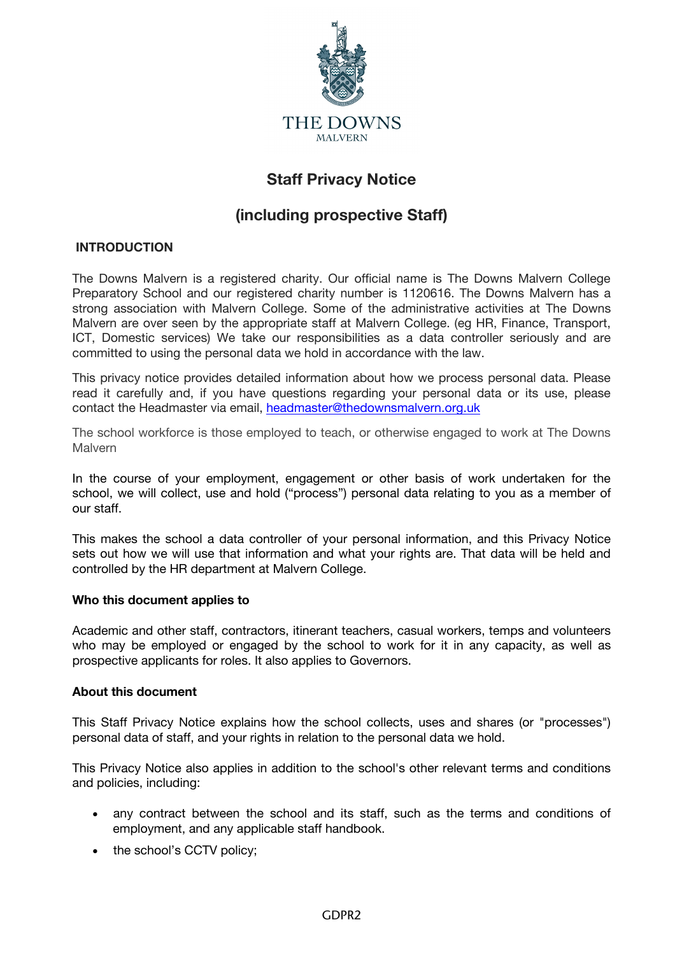

# **Staff Privacy Notice**

# **(including prospective Staff)**

# **INTRODUCTION**

The Downs Malvern is a registered charity. Our official name is The Downs Malvern College Preparatory School and our registered charity number is 1120616. The Downs Malvern has a strong association with Malvern College. Some of the administrative activities at The Downs Malvern are over seen by the appropriate staff at Malvern College. (eg HR, Finance, Transport, ICT, Domestic services) We take our responsibilities as a data controller seriously and are committed to using the personal data we hold in accordance with the law.

This privacy notice provides detailed information about how we process personal data. Please read it carefully and, if you have questions regarding your personal data or its use, please contact the Headmaster via email, headmaster@thedownsmalvern.org.uk

The school workforce is those employed to teach, or otherwise engaged to work at The Downs **Malvern** 

In the course of your employment, engagement or other basis of work undertaken for the school, we will collect, use and hold ("process") personal data relating to you as a member of our staff.

This makes the school a data controller of your personal information, and this Privacy Notice sets out how we will use that information and what your rights are. That data will be held and controlled by the HR department at Malvern College.

# **Who this document applies to**

Academic and other staff, contractors, itinerant teachers, casual workers, temps and volunteers who may be employed or engaged by the school to work for it in any capacity, as well as prospective applicants for roles. It also applies to Governors.

# **About this document**

This Staff Privacy Notice explains how the school collects, uses and shares (or "processes") personal data of staff, and your rights in relation to the personal data we hold.

This Privacy Notice also applies in addition to the school's other relevant terms and conditions and policies, including:

- any contract between the school and its staff, such as the terms and conditions of employment, and any applicable staff handbook.
- the school's CCTV policy;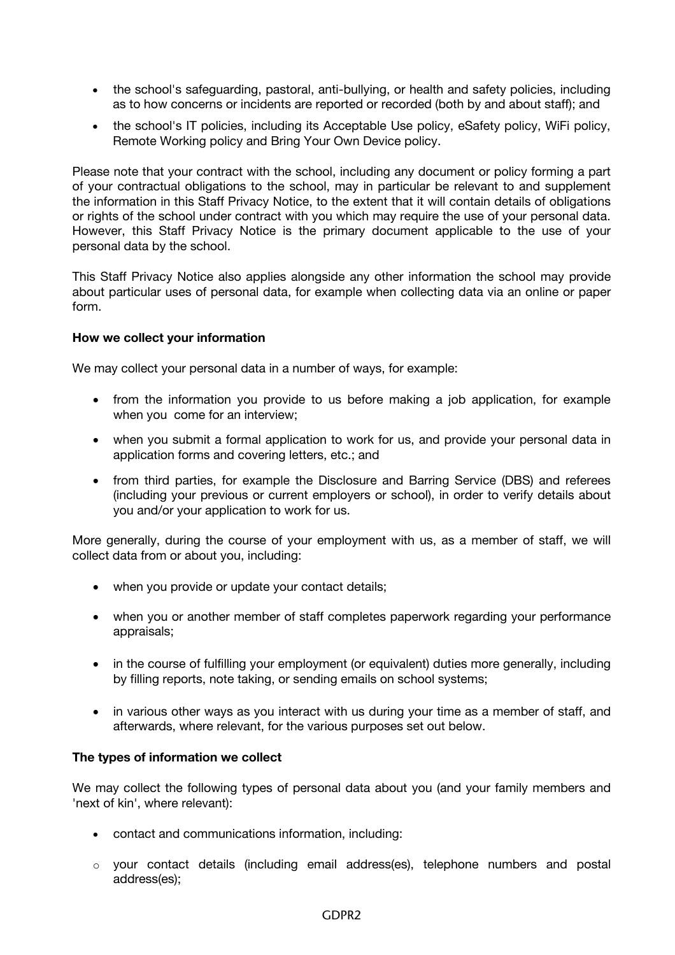- the school's safeguarding, pastoral, anti-bullying, or health and safety policies, including as to how concerns or incidents are reported or recorded (both by and about staff); and
- the school's IT policies, including its Acceptable Use policy, eSafety policy, WiFi policy, Remote Working policy and Bring Your Own Device policy.

Please note that your contract with the school, including any document or policy forming a part of your contractual obligations to the school, may in particular be relevant to and supplement the information in this Staff Privacy Notice, to the extent that it will contain details of obligations or rights of the school under contract with you which may require the use of your personal data. However, this Staff Privacy Notice is the primary document applicable to the use of your personal data by the school.

This Staff Privacy Notice also applies alongside any other information the school may provide about particular uses of personal data, for example when collecting data via an online or paper form.

# **How we collect your information**

We may collect your personal data in a number of ways, for example:

- from the information you provide to us before making a job application, for example when you come for an interview;
- when you submit a formal application to work for us, and provide your personal data in application forms and covering letters, etc.; and
- from third parties, for example the Disclosure and Barring Service (DBS) and referees (including your previous or current employers or school), in order to verify details about you and/or your application to work for us.

More generally, during the course of your employment with us, as a member of staff, we will collect data from or about you, including:

- when you provide or update your contact details;
- when you or another member of staff completes paperwork regarding your performance appraisals;
- in the course of fulfilling your employment (or equivalent) duties more generally, including by filling reports, note taking, or sending emails on school systems;
- in various other ways as you interact with us during your time as a member of staff, and afterwards, where relevant, for the various purposes set out below.

# **The types of information we collect**

We may collect the following types of personal data about you (and your family members and 'next of kin', where relevant):

- contact and communications information, including:
- o your contact details (including email address(es), telephone numbers and postal address(es);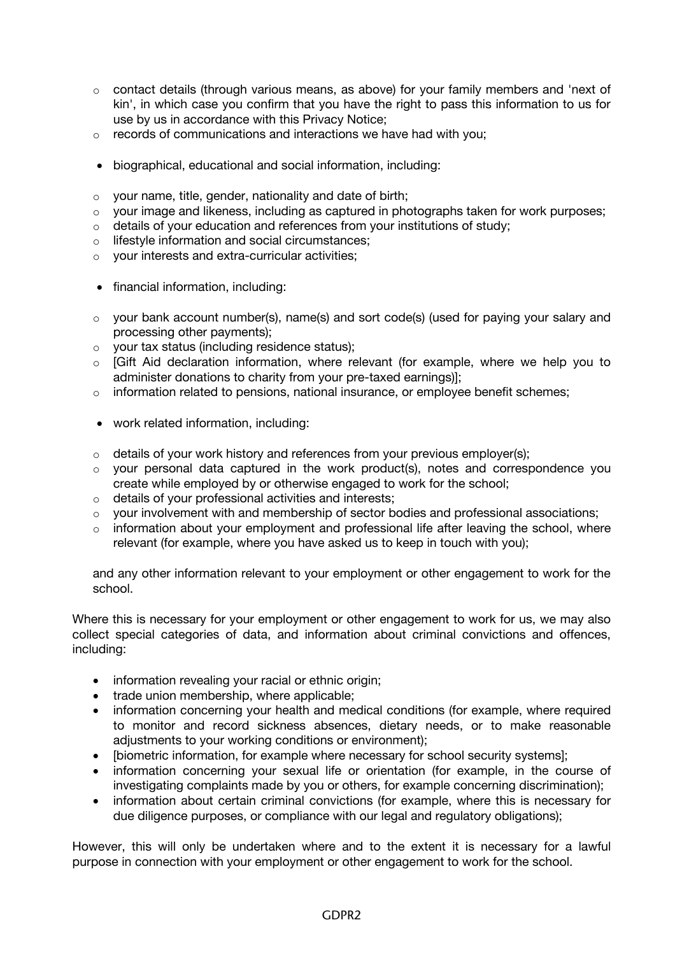- $\circ$  contact details (through various means, as above) for your family members and 'next of kin', in which case you confirm that you have the right to pass this information to us for use by us in accordance with this Privacy Notice;
- $\circ$  records of communications and interactions we have had with you:
- biographical, educational and social information, including:
- o your name, title, gender, nationality and date of birth;
- $\circ$  your image and likeness, including as captured in photographs taken for work purposes;
- $\circ$  details of your education and references from your institutions of study;
- lifestyle information and social circumstances;
- o your interests and extra-curricular activities;
- financial information, including:
- $\circ$  vour bank account number(s), name(s) and sort code(s) (used for paying your salary and processing other payments);
- o your tax status (including residence status);
- [Gift Aid declaration information, where relevant (for example, where we help you to administer donations to charity from your pre-taxed earnings)];
- $\circ$  information related to pensions, national insurance, or employee benefit schemes;
- work related information, including:
- $\circ$  details of your work history and references from your previous employer(s);
- $\circ$  your personal data captured in the work product(s), notes and correspondence you create while employed by or otherwise engaged to work for the school;
- o details of your professional activities and interests;
- $\circ$  your involvement with and membership of sector bodies and professional associations;
- $\circ$  information about your employment and professional life after leaving the school, where relevant (for example, where you have asked us to keep in touch with you);

and any other information relevant to your employment or other engagement to work for the school.

Where this is necessary for your employment or other engagement to work for us, we may also collect special categories of data, and information about criminal convictions and offences, including:

- information revealing your racial or ethnic origin;
- trade union membership, where applicable;
- information concerning your health and medical conditions (for example, where required to monitor and record sickness absences, dietary needs, or to make reasonable adjustments to your working conditions or environment);
- [biometric information, for example where necessary for school security systems];
- information concerning your sexual life or orientation (for example, in the course of investigating complaints made by you or others, for example concerning discrimination);
- information about certain criminal convictions (for example, where this is necessary for due diligence purposes, or compliance with our legal and regulatory obligations);

However, this will only be undertaken where and to the extent it is necessary for a lawful purpose in connection with your employment or other engagement to work for the school.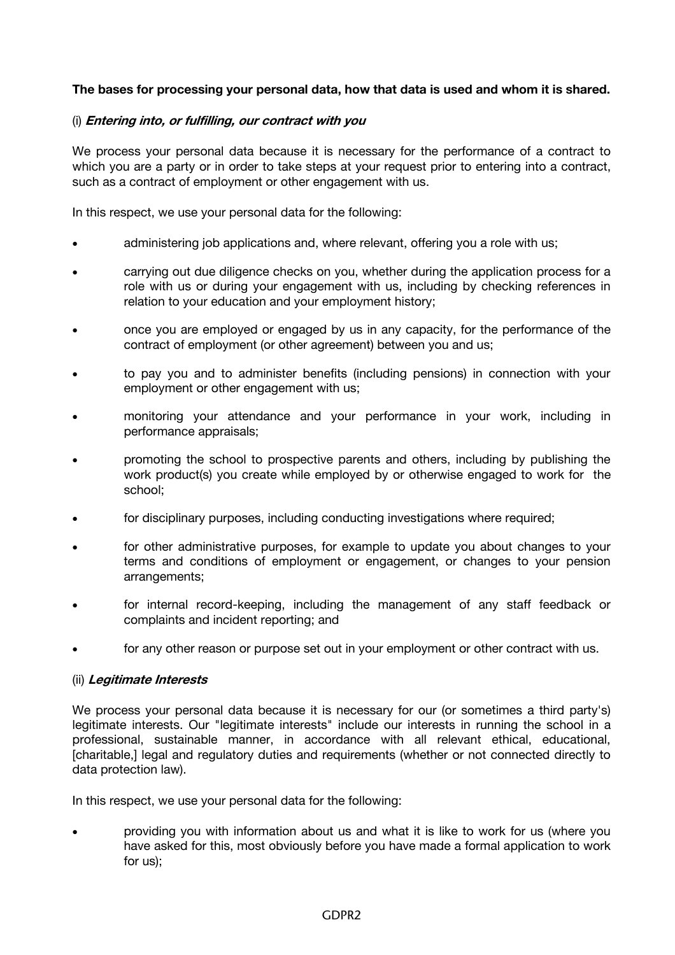# **The bases for processing your personal data, how that data is used and whom it is shared.**

### (i) **Entering into, or fulfilling, our contract with you**

We process your personal data because it is necessary for the performance of a contract to which you are a party or in order to take steps at your request prior to entering into a contract, such as a contract of employment or other engagement with us.

In this respect, we use your personal data for the following:

- administering job applications and, where relevant, offering you a role with us;
- carrying out due diligence checks on you, whether during the application process for a role with us or during your engagement with us, including by checking references in relation to your education and your employment history;
- once you are employed or engaged by us in any capacity, for the performance of the contract of employment (or other agreement) between you and us;
- to pay you and to administer benefits (including pensions) in connection with your employment or other engagement with us;
- monitoring your attendance and your performance in your work, including in performance appraisals;
- promoting the school to prospective parents and others, including by publishing the work product(s) you create while employed by or otherwise engaged to work for the school;
- for disciplinary purposes, including conducting investigations where required;
- for other administrative purposes, for example to update you about changes to your terms and conditions of employment or engagement, or changes to your pension arrangements;
- for internal record-keeping, including the management of any staff feedback or complaints and incident reporting; and
- for any other reason or purpose set out in your employment or other contract with us.

#### (ii) **Legitimate Interests**

We process your personal data because it is necessary for our (or sometimes a third party's) legitimate interests. Our "legitimate interests" include our interests in running the school in a professional, sustainable manner, in accordance with all relevant ethical, educational, [charitable,] legal and regulatory duties and requirements (whether or not connected directly to data protection law).

In this respect, we use your personal data for the following:

• providing you with information about us and what it is like to work for us (where you have asked for this, most obviously before you have made a formal application to work for us);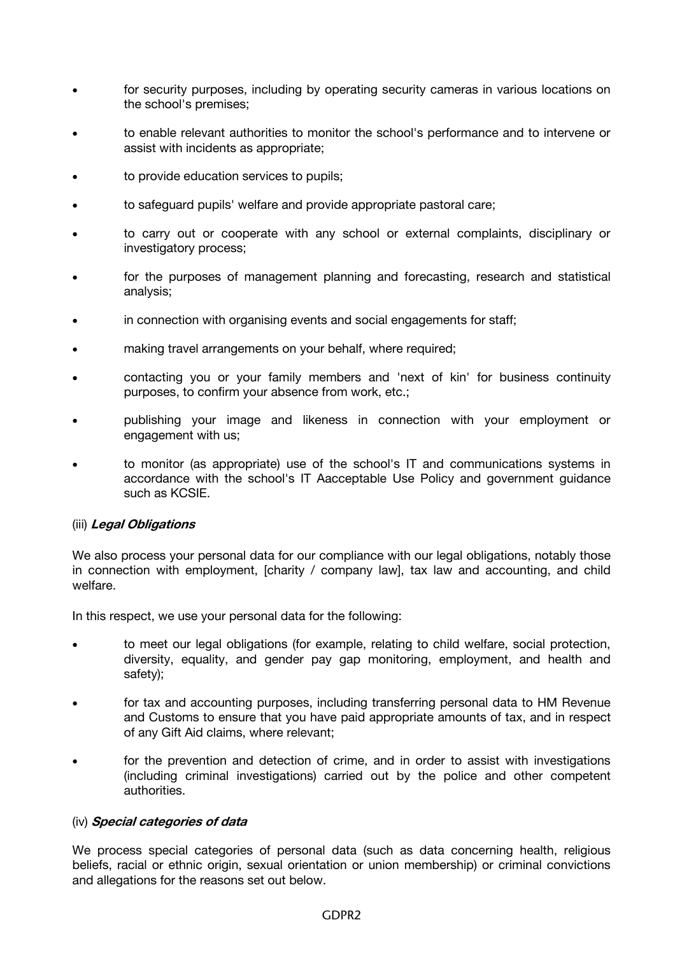- for security purposes, including by operating security cameras in various locations on the school's premises;
- to enable relevant authorities to monitor the school's performance and to intervene or assist with incidents as appropriate;
- to provide education services to pupils;
- to safeguard pupils' welfare and provide appropriate pastoral care;
- to carry out or cooperate with any school or external complaints, disciplinary or investigatory process;
- for the purposes of management planning and forecasting, research and statistical analysis;
- in connection with organising events and social engagements for staff;
- making travel arrangements on your behalf, where required;
- contacting you or your family members and 'next of kin' for business continuity purposes, to confirm your absence from work, etc.;
- publishing your image and likeness in connection with your employment or engagement with us;
- to monitor (as appropriate) use of the school's IT and communications systems in accordance with the school's IT Aacceptable Use Policy and government guidance such as KCSIE.

#### (iii) **Legal Obligations**

We also process your personal data for our compliance with our legal obligations, notably those in connection with employment, [charity / company law], tax law and accounting, and child welfare.

In this respect, we use your personal data for the following:

- to meet our legal obligations (for example, relating to child welfare, social protection, diversity, equality, and gender pay gap monitoring, employment, and health and safety);
- for tax and accounting purposes, including transferring personal data to HM Revenue and Customs to ensure that you have paid appropriate amounts of tax, and in respect of any Gift Aid claims, where relevant;
- for the prevention and detection of crime, and in order to assist with investigations (including criminal investigations) carried out by the police and other competent authorities.

#### (iv) **Special categories of data**

We process special categories of personal data (such as data concerning health, religious beliefs, racial or ethnic origin, sexual orientation or union membership) or criminal convictions and allegations for the reasons set out below.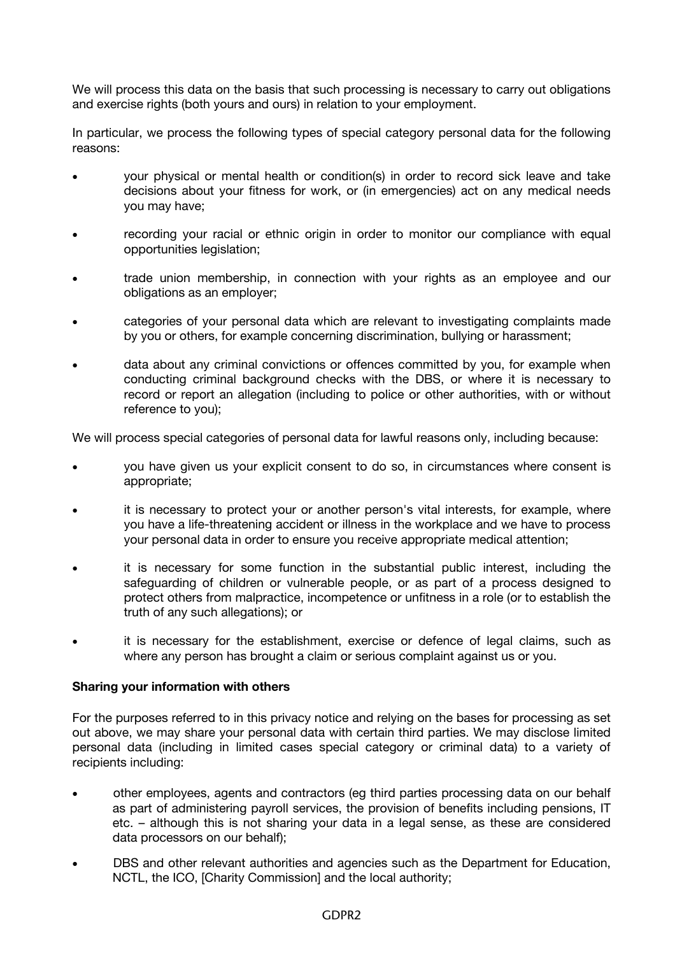We will process this data on the basis that such processing is necessary to carry out obligations and exercise rights (both yours and ours) in relation to your employment.

In particular, we process the following types of special category personal data for the following reasons:

- your physical or mental health or condition(s) in order to record sick leave and take decisions about your fitness for work, or (in emergencies) act on any medical needs you may have;
- recording your racial or ethnic origin in order to monitor our compliance with equal opportunities legislation;
- trade union membership, in connection with your rights as an employee and our obligations as an employer;
- categories of your personal data which are relevant to investigating complaints made by you or others, for example concerning discrimination, bullying or harassment;
- data about any criminal convictions or offences committed by you, for example when conducting criminal background checks with the DBS, or where it is necessary to record or report an allegation (including to police or other authorities, with or without reference to you);

We will process special categories of personal data for lawful reasons only, including because:

- you have given us your explicit consent to do so, in circumstances where consent is appropriate;
- it is necessary to protect your or another person's vital interests, for example, where you have a life-threatening accident or illness in the workplace and we have to process your personal data in order to ensure you receive appropriate medical attention;
- it is necessary for some function in the substantial public interest, including the safeguarding of children or vulnerable people, or as part of a process designed to protect others from malpractice, incompetence or unfitness in a role (or to establish the truth of any such allegations); or
- it is necessary for the establishment, exercise or defence of legal claims, such as where any person has brought a claim or serious complaint against us or you.

# **Sharing your information with others**

For the purposes referred to in this privacy notice and relying on the bases for processing as set out above, we may share your personal data with certain third parties. We may disclose limited personal data (including in limited cases special category or criminal data) to a variety of recipients including:

- other employees, agents and contractors (eg third parties processing data on our behalf as part of administering payroll services, the provision of benefits including pensions, IT etc. – although this is not sharing your data in a legal sense, as these are considered data processors on our behalf);
- DBS and other relevant authorities and agencies such as the Department for Education, NCTL, the ICO, ICharity Commission] and the local authority;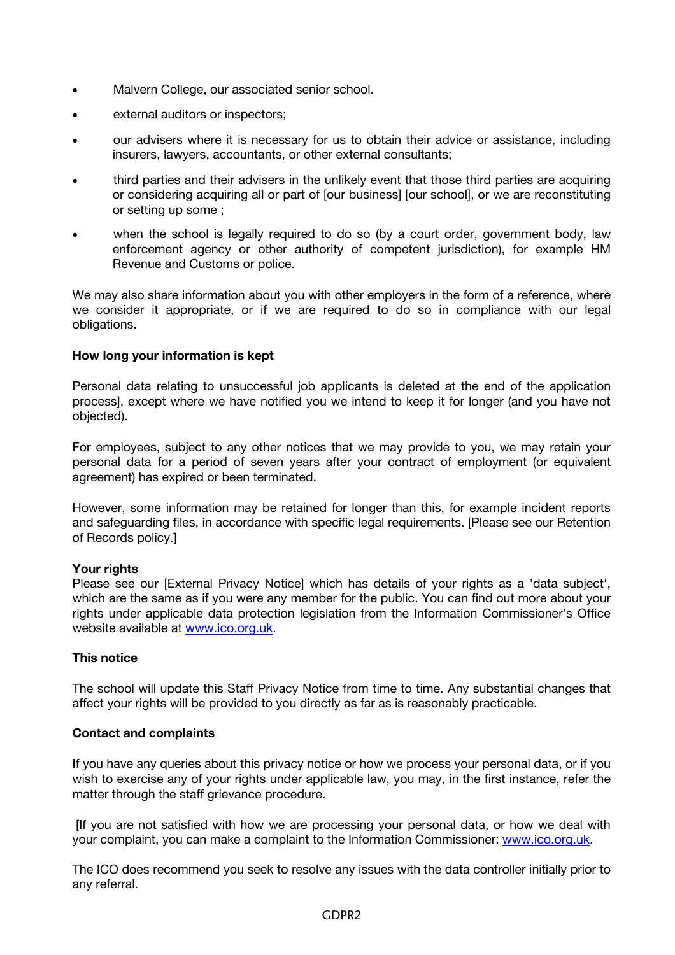- Malvern College, our associated senior school.
- external auditors or inspectors;
- our advisers where it is necessary for us to obtain their advice or assistance, including insurers, lawyers, accountants, or other external consultants;
- third parties and their advisers in the unlikely event that those third parties are acquiring or considering acquiring all or part of [our business] [our school], or we are reconstituting or setting up some ;
- when the school is legally required to do so (by a court order, government body, law enforcement agency or other authority of competent jurisdiction), for example HM Revenue and Customs or police.

We may also share information about you with other employers in the form of a reference, where we consider it appropriate, or if we are required to do so in compliance with our legal obligations.

# **How long your information is kept**

Personal data relating to unsuccessful job applicants is deleted at the end of the application process], except where we have notified you we intend to keep it for longer (and you have not objected).

For employees, subject to any other notices that we may provide to you, we may retain your personal data for a period of seven years after your contract of employment (or equivalent agreement) has expired or been terminated.

However, some information may be retained for longer than this, for example incident reports and safeguarding files, in accordance with specific legal requirements. [Please see our Retention of Records policy.]

# **Your rights**

Please see our [External Privacy Notice] which has details of your rights as a 'data subject', which are the same as if you were any member for the public. You can find out more about your rights under applicable data protection legislation from the Information Commissioner's Office website available at www.ico.org.uk.

# **This notice**

The school will update this Staff Privacy Notice from time to time. Any substantial changes that affect your rights will be provided to you directly as far as is reasonably practicable.

# **Contact and complaints**

If you have any queries about this privacy notice or how we process your personal data, or if you wish to exercise any of your rights under applicable law, you may, in the first instance, refer the matter through the staff grievance procedure.

[If you are not satisfied with how we are processing your personal data, or how we deal with your complaint, you can make a complaint to the Information Commissioner: www.ico.org.uk.

The ICO does recommend you seek to resolve any issues with the data controller initially prior to any referral.